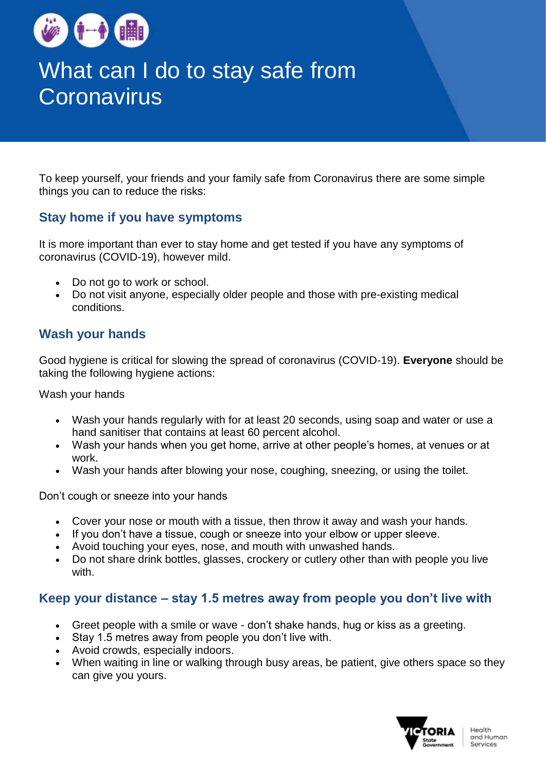

# What can I do to stay safe from **Coronavirus**

To keep yourself, your friends and your family safe from Coronavirus there are some simple things you can to reduce the risks:

# **Stay home if you have symptoms**

It is more important than ever to stay home and [get tested](https://www.dhhs.vic.gov.au/getting-tested-coronavirus-covid-19) if you have any [symptoms of](https://www.dhhs.vic.gov.au/getting-tested-coronavirus-covid-19#what-are-the-symptoms-of-coronavirus-covid-19)  [coronavirus](https://www.dhhs.vic.gov.au/getting-tested-coronavirus-covid-19#what-are-the-symptoms-of-coronavirus-covid-19) (COVID-19), however mild.

- Do not go to work or school.
- Do not visit anyone, especially older people and those with pre-existing medical conditions.

# **Wash your hands**

Good hygiene is critical for slowing the spread of coronavirus (COVID-19). **Everyone** should be taking the following hygiene actions:

Wash your hands

- Wash your hands regularly with for at least 20 seconds, using soap and water or use a hand sanitiser that contains at least 60 percent alcohol.
- Wash your hands when you get home, arrive at other people's homes, at venues or at work.
- Wash your hands after blowing your nose, coughing, sneezing, or using the toilet.

Don't cough or sneeze into your hands

- Cover your nose or mouth with a tissue, then throw it away and wash your hands.
- If you don't have a tissue, cough or sneeze into your elbow or upper sleeve.
- Avoid touching your eyes, nose, and mouth with unwashed hands.
- Do not share drink bottles, glasses, crockery or cutlery other than with people you live with.

### **Keep your distance – stay 1.5 metres away from people you don't live with**

- Greet people with a smile or wave don't shake hands, hug or kiss as a greeting.
- Stay 1.5 metres away from people you don't live with.
- Avoid crowds, especially indoors.
- When waiting in line or walking through busy areas, be patient, give others space so they can give you yours.